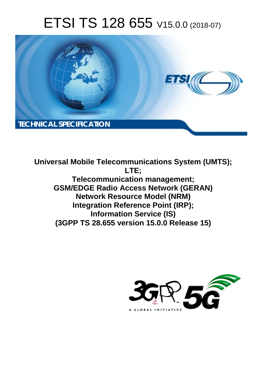# ETSI TS 128 655 V15.0.0 (2018-07)



**Universal Mobile Telecommunications System (UMTS); LTE; Telecommunication management; GSM/EDGE Radio Access Network (GERAN) Network Resource Model (NRM) Integration Reference Point (IRP); Information Service (IS) (3GPP TS 28.655 version 15.0.0 Release 15)** 

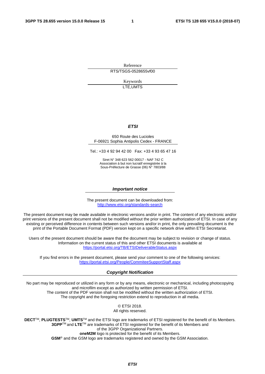Reference RTS/TSGS-0528655vf00

> Keywords LTE,UMTS

#### *ETSI*

#### 650 Route des Lucioles F-06921 Sophia Antipolis Cedex - FRANCE

Tel.: +33 4 92 94 42 00 Fax: +33 4 93 65 47 16

Siret N° 348 623 562 00017 - NAF 742 C Association à but non lucratif enregistrée à la Sous-Préfecture de Grasse (06) N° 7803/88

#### *Important notice*

The present document can be downloaded from: <http://www.etsi.org/standards-search>

The present document may be made available in electronic versions and/or in print. The content of any electronic and/or print versions of the present document shall not be modified without the prior written authorization of ETSI. In case of any existing or perceived difference in contents between such versions and/or in print, the only prevailing document is the print of the Portable Document Format (PDF) version kept on a specific network drive within ETSI Secretariat.

Users of the present document should be aware that the document may be subject to revision or change of status. Information on the current status of this and other ETSI documents is available at <https://portal.etsi.org/TB/ETSIDeliverableStatus.aspx>

If you find errors in the present document, please send your comment to one of the following services: <https://portal.etsi.org/People/CommiteeSupportStaff.aspx>

#### *Copyright Notification*

No part may be reproduced or utilized in any form or by any means, electronic or mechanical, including photocopying and microfilm except as authorized by written permission of ETSI. The content of the PDF version shall not be modified without the written authorization of ETSI. The copyright and the foregoing restriction extend to reproduction in all media.

> © ETSI 2018. All rights reserved.

**DECT**TM, **PLUGTESTS**TM, **UMTS**TM and the ETSI logo are trademarks of ETSI registered for the benefit of its Members. **3GPP**TM and **LTE**TM are trademarks of ETSI registered for the benefit of its Members and of the 3GPP Organizational Partners. **oneM2M** logo is protected for the benefit of its Members.

**GSM**® and the GSM logo are trademarks registered and owned by the GSM Association.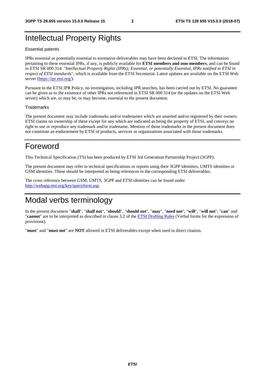### Intellectual Property Rights

#### Essential patents

IPRs essential or potentially essential to normative deliverables may have been declared to ETSI. The information pertaining to these essential IPRs, if any, is publicly available for **ETSI members and non-members**, and can be found in ETSI SR 000 314: *"Intellectual Property Rights (IPRs); Essential, or potentially Essential, IPRs notified to ETSI in respect of ETSI standards"*, which is available from the ETSI Secretariat. Latest updates are available on the ETSI Web server ([https://ipr.etsi.org/\)](https://ipr.etsi.org/).

Pursuant to the ETSI IPR Policy, no investigation, including IPR searches, has been carried out by ETSI. No guarantee can be given as to the existence of other IPRs not referenced in ETSI SR 000 314 (or the updates on the ETSI Web server) which are, or may be, or may become, essential to the present document.

#### **Trademarks**

The present document may include trademarks and/or tradenames which are asserted and/or registered by their owners. ETSI claims no ownership of these except for any which are indicated as being the property of ETSI, and conveys no right to use or reproduce any trademark and/or tradename. Mention of those trademarks in the present document does not constitute an endorsement by ETSI of products, services or organizations associated with those trademarks.

### Foreword

This Technical Specification (TS) has been produced by ETSI 3rd Generation Partnership Project (3GPP).

The present document may refer to technical specifications or reports using their 3GPP identities, UMTS identities or GSM identities. These should be interpreted as being references to the corresponding ETSI deliverables.

The cross reference between GSM, UMTS, 3GPP and ETSI identities can be found under [http://webapp.etsi.org/key/queryform.asp.](http://webapp.etsi.org/key/queryform.asp)

### Modal verbs terminology

In the present document "**shall**", "**shall not**", "**should**", "**should not**", "**may**", "**need not**", "**will**", "**will not**", "**can**" and "**cannot**" are to be interpreted as described in clause 3.2 of the [ETSI Drafting Rules](https://portal.etsi.org/Services/editHelp!/Howtostart/ETSIDraftingRules.aspx) (Verbal forms for the expression of provisions).

"**must**" and "**must not**" are **NOT** allowed in ETSI deliverables except when used in direct citation.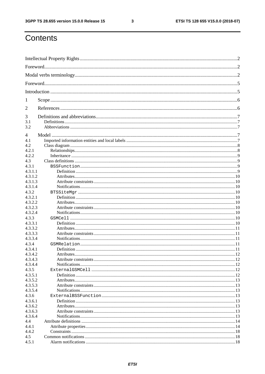ETSI TS 128 655 V15.0.0 (2018-07)

### Contents

| 1       |  |
|---------|--|
| 2       |  |
| 3       |  |
| 3.1     |  |
| 3.2     |  |
| 4       |  |
| 4.1     |  |
| 4.2     |  |
| 4.2.1   |  |
| 4.2.2   |  |
| 4.3     |  |
| 4.3.1   |  |
|         |  |
| 4.3.1.1 |  |
| 4.3.1.2 |  |
| 4.3.1.3 |  |
| 4.3.1.4 |  |
| 4.3.2   |  |
| 4.3.2.1 |  |
| 4.3.2.2 |  |
| 4.3.2.3 |  |
| 4.3.2.4 |  |
| 4.3.3   |  |
| 4.3.3.1 |  |
| 4.3.3.2 |  |
| 4.3.3.3 |  |
| 4.3.3.4 |  |
| 4.3.4   |  |
| 4.3.4.1 |  |
| 4.3.4.2 |  |
| 4.3.4.3 |  |
| 4.3.4.4 |  |
| 4.3.5   |  |
| 4.3.5.1 |  |
| 4.3.5.2 |  |
| 4.3.5.3 |  |
| 4.3.5.4 |  |
| 4.3.6   |  |
| 4.3.6.1 |  |
| 4.3.6.2 |  |
| 4.3.6.3 |  |
| 4.3.6.4 |  |
| 4.4     |  |
| 4.4.1   |  |
| 4.4.2   |  |
| 4.5     |  |
| 4.5.1   |  |
|         |  |

 $\mathbf{3}$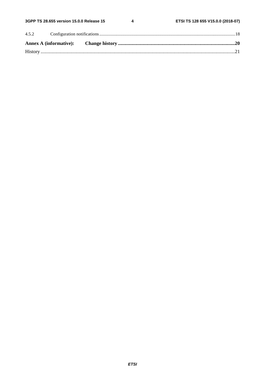$\overline{\mathbf{4}}$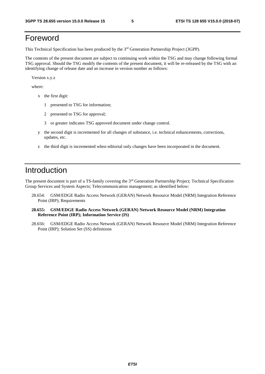### Foreword

This Technical Specification has been produced by the 3rd Generation Partnership Project (3GPP).

The contents of the present document are subject to continuing work within the TSG and may change following formal TSG approval. Should the TSG modify the contents of the present document, it will be re-released by the TSG with an identifying change of release date and an increase in version number as follows:

Version x.y.z

where:

- x the first digit:
	- 1 presented to TSG for information;
	- 2 presented to TSG for approval;
	- 3 or greater indicates TSG approved document under change control.
- y the second digit is incremented for all changes of substance, i.e. technical enhancements, corrections, updates, etc.
- z the third digit is incremented when editorial only changes have been incorporated in the document.

### Introduction

The present document is part of a TS-family covering the 3rd Generation Partnership Project; Technical Specification Group Services and System Aspects; Telecommunication management; as identified below:

- 28.654: GSM/EDGE Radio Access Network (GERAN) Network Resource Model (NRM) Integration Reference Point (IRP); Requirements
- **28.655: GSM/EDGE Radio Access Network (GERAN) Network Resource Model (NRM) Integration Reference Point (IRP); Information Service (IS)**
- 28.656: GSM/EDGE Radio Access Network (GERAN) Network Resource Model (NRM) Integration Reference Point (IRP); Solution Set (SS) definitions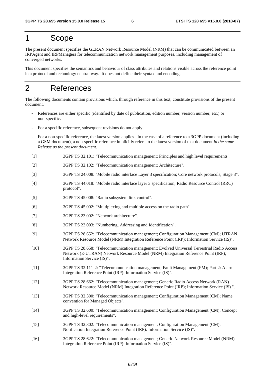### 1 Scope

The present document specifies the GERAN Network Resource Model (NRM) that can be communicated between an IRPAgent and IRPManagers for telecommunication network management purposes, including management of converged networks.

This document specifies the semantics and behaviour of class attributes and relations visible across the reference point in a protocol and technology neutral way. It does not define their syntax and encoding.

### 2 References

The following documents contain provisions which, through reference in this text, constitute provisions of the present document.

- References are either specific (identified by date of publication, edition number, version number, etc.) or non-specific.
- For a specific reference, subsequent revisions do not apply.
- For a non-specific reference, the latest version applies. In the case of a reference to a 3GPP document (including a GSM document), a non-specific reference implicitly refers to the latest version of that document *in the same Release as the present document*.
- [1] 3GPP TS 32.101: "Telecommunication management; Principles and high level requirements".
- [2] 3GPP TS 32.102: "Telecommunication management; Architecture".
- [3] 3GPP TS 24.008: "Mobile radio interface Layer 3 specification; Core network protocols; Stage 3".
- [4] 3GPP TS 44.018: "Mobile radio interface layer 3 specification; Radio Resource Control (RRC) protocol".
- [5] 3GPP TS 45.008: "Radio subsystem link control".
- [6] 3GPP TS 45.002: "Multiplexing and multiple access on the radio path".
- [7] 3GPP TS 23.002: "Network architecture".
- [8] 3GPP TS 23.003: "Numbering, Addressing and Identification".
- [9] 3GPP TS 28.652: "Telecommunication management; Configuration Management (CM); UTRAN Network Resource Model (NRM) Integration Reference Point (IRP); Information Service (IS)".
- [10] 3GPP TS 28.658: "Telecommunication management; Evolved Universal Terrestrial Radio Access Network (E-UTRAN) Network Resource Model (NRM) Integration Reference Point (IRP); Information Service (IS)".
- [11] 3GPP TS 32.111-2: "Telecommunication management; Fault Management (FM); Part 2: Alarm Integration Reference Point (IRP): Information Service (IS)".
- [12] 3GPP TS 28.662: "Telecommunication management; Generic Radio Access Network (RAN) Network Resource Model (NRM) Integration Reference Point (IRP); Information Service (IS) ".
- [13] 3GPP TS 32.300: "Telecommunication management; Configuration Management (CM); Name convention for Managed Objects".
- [14] 3GPP TS 32.600: "Telecommunication management; Configuration Management (CM); Concept and high-level requirements".
- [15] 3GPP TS 32.302: "Telecommunication management; Configuration Management (CM); Notification Integration Reference Point (IRP): Information Service (IS)".
- [16] 3GPP TS 28.622: "Telecommunication management; Generic Network Resource Model (NRM) Integration Reference Point (IRP): Information Service (IS)".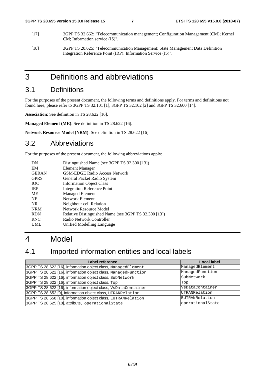- [17] 3GPP TS 32.662: "Telecommunication management; Configuration Management (CM); Kernel CM; Information service (IS)".
- [18] 3GPP TS 28.625: "Telecommunication Management; State Management Data Definition Integration Reference Point (IRP): Information Service (IS)".

### 3 Definitions and abbreviations

### 3.1 Definitions

For the purposes of the present document, the following terms and definitions apply. For terms and definitions not found here, please refer to 3GPP TS 32.101 [1], 3GPP TS 32.102 [2] and 3GPP TS 32.600 [14].

**Association**: See definition in TS 28.622 [16].

**Managed Element (ME)**: See definition in TS 28.622 [16].

**Network Resource Model (NRM)**: See definition in TS 28.622 [16].

### 3.2 Abbreviations

For the purposes of the present document, the following abbreviations apply:

| DN           | Distinguished Name (see 3GPP TS 32.300 [13])          |
|--------------|-------------------------------------------------------|
| EM           | <b>Element Manager</b>                                |
| <b>GERAN</b> | <b>GSM-EDGE Radio Access Network</b>                  |
| <b>GPRS</b>  | General Packet Radio System                           |
| <b>TOC</b>   | <b>Information Object Class</b>                       |
| <b>IRP</b>   | <b>Integration Reference Point</b>                    |
| <b>ME</b>    | <b>Managed Element</b>                                |
| <b>NE</b>    | Network Element                                       |
| <b>NR</b>    | Neighbour cell Relation                               |
| <b>NRM</b>   | Network Resource Model                                |
| <b>RDN</b>   | Relative Distinguished Name (see 3GPP TS 32.300 [13]) |
| <b>RNC</b>   | Radio Network Controller                              |
| UML          | Unified Modelling Language                            |

### 4 Model

### 4.1 Imported information entities and local labels

| Label reference                                                | <b>Local label</b> |
|----------------------------------------------------------------|--------------------|
| 3GPP TS 28.622 [16], information object class, ManagedElement  | ManagedElement     |
| 3GPP TS 28.622 [16], information object class, ManagedFunction | ManagedFunction    |
| 3GPP TS 28.622 [16], information object class, SubNetwork      | SubNetwork         |
| 3GPP TS 28.622 [16], information object class, Top             | Top                |
| 3GPP TS 28.622 [16], information object class, VsDataContainer | VsDataContainer    |
| 3GPP TS 28.652 [9], information object class, UTRANRelation    | UTRANRelation      |
| 3GPP TS 28.658 [10], information object class, EUTRANRelation  | EUTRANRelation     |
| 3GPP TS 28.625 [18], attribute, operational State              | operationalState   |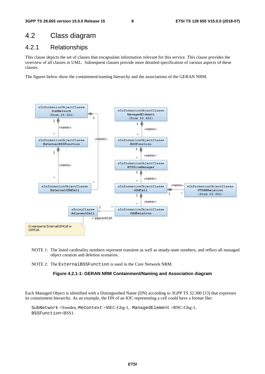### 4.2 Class diagram

### 4.2.1 Relationships

This clause depicts the set of classes that encapsulate information relevant for this service. This clause provides the overview of all classes in UML. Subsequent clauses provide more detailed specification of various aspects of these classes.

The figures below show the containment/naming hierarchy and the associations of the GERAN NRM.



- NOTE 1: The listed cardinality numbers represent transient as well as steady-state numbers, and reflect all managed object creation and deletion scenarios.
- NOTE 2: The ExternalBSSFunction is used in the Core Network NRM.

#### **Figure 4.2.1-1: GERAN NRM Containment/Naming and Association diagram**

Each Managed Object is identified with a Distinguished Name (DN) according to 3GPP TS 32.300 [13] that expresses its containment hierarchy. As an example, the DN of an IOC representing a cell could have a format like:

SubNetwork =Sweden, MeContext =MEC-Gbg-1, ManagedElement =RNC-Gbg-1, BSSFunction=BSS1.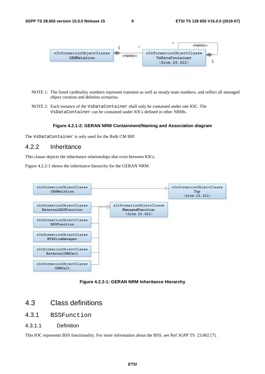

- NOTE 1: The listed cardinality numbers represent transient as well as steady-state numbers, and reflect all managed object creation and deletion scenarios.
- NOTE 2: Each instance of the VsDataContainer shall only be contained under one IOC. The VsDataContainer can be contained under IOCs defined in other NRMs.

#### **Figure 4.2.1-2: GERAN NRM Containment/Naming and Association diagram**

The VsDataContainer is only used for the Bulk CM IRP.

#### 4.2.2 Inheritance

This clause depicts the inheritance relationships that exist between IOCs.

Figure 4.2.2-1 shows the inheritance hierarchy for the GERAN NRM.



**Figure 4.2.2-1: GERAN NRM Inheritance Hierarchy** 

#### 4.3 Class definitions

- 4.3.1 BSSFunction
- 4.3.1.1 Definition

This IOC represents BSS functionality. For more information about the BSS, see Ref 3GPP TS 23.002 [7].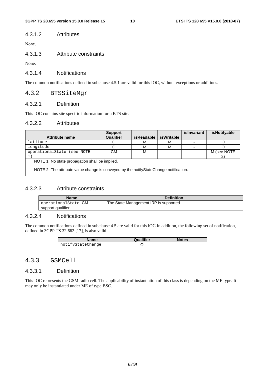#### 4.3.1.2 Attributes

None.

#### 4.3.1.3 Attribute constraints

None.

#### 4.3.1.4 Notifications

The common notifications defined in subclause 4.5.1 are valid for this IOC, without exceptions or additions.

#### 4.3.2 BTSSiteMgr

#### 4.3.2.1 Definition

This IOC contains site specific information for a BTS site.

#### 4.3.2.2 Attributes

|                                                                                         | <b>Support</b> |                   |                          | islnvariant | isNotifyable |  |
|-----------------------------------------------------------------------------------------|----------------|-------------------|--------------------------|-------------|--------------|--|
| Attribute name                                                                          | Qualifier      | <b>isReadable</b> | isWritable               |             |              |  |
| latitude                                                                                |                | м                 | м                        |             |              |  |
| longitude                                                                               |                | м                 | M                        |             |              |  |
| operationalState<br>(see NOTE                                                           | CМ             | М                 | $\overline{\phantom{0}}$ |             | M (see NOTE  |  |
|                                                                                         |                |                   |                          |             |              |  |
| NOTE 1: No state propagation shall be implied.                                          |                |                   |                          |             |              |  |
| NOTE 2: The attribute value change is conveyed by the notify State Change notification. |                |                   |                          |             |              |  |

#### 4.3.2.3 Attribute constraints

| Name                | <b>Definition</b>                      |
|---------------------|----------------------------------------|
| operationalState CM | The State Management IRP is supported. |
| support qualifier   |                                        |

#### 4.3.2.4 Notifications

The common notifications defined in subclause 4.5 are valid for this IOC In addition, the following set of notification, defined in 3GPP TS 32.662 [17], is also valid.

| <b>Name</b>       | Qualifier | <b>Notes</b> |
|-------------------|-----------|--------------|
| notifyStateChange |           |              |

#### 4.3.3 GSMCell

#### 4.3.3.1 Definition

This IOC represents the GSM radio cell. The applicability of instantiation of this class is depending on the ME type. It may only be instantiated under ME of type BSC.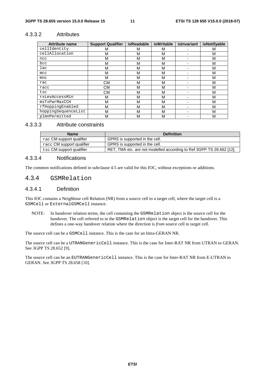#### 4.3.3.2 Attributes

| <b>Attribute name</b> | <b>Support Qualifier</b> | <b>isReadable</b> | <b>isWritable</b> | islnvariant | isNotifyable |
|-----------------------|--------------------------|-------------------|-------------------|-------------|--------------|
| cellIdentity          | М                        | М                 | М                 |             | м            |
| cellAllocation        | М                        | M                 | М                 |             | M            |
| ncc                   | M                        | М                 | М                 |             | М            |
| bcc                   | М                        | М                 | М                 |             | м            |
| lac                   | M                        | M                 | М                 |             | м            |
| mcc                   | M                        | M                 | M                 |             | м            |
| mnc                   | М                        | M                 | М                 |             | м            |
| rac                   | <b>CM</b>                | M                 | M                 |             | м            |
| racc                  | CМ                       | M                 | М                 |             | м            |
| tsc                   | <b>CM</b>                | М                 | М                 |             | м            |
| rxLevAccessMin        | м                        | M                 | M                 |             | м            |
| msTxPwrMaxCCH         | м                        | M                 | М                 |             | м            |
| rfHoppingEnabled      | M                        | M                 | М                 |             | M            |
| hoppingSequenceList   | M                        | M                 | М                 |             | м            |
| plmnPermitted         | М                        | М                 | M                 |             | м            |

#### 4.3.3.3 Attribute constraints

| <b>Name</b>               | <b>Definition</b>                                                    |
|---------------------------|----------------------------------------------------------------------|
| rac CM support qualifier  | GPRS is supported in the cell.                                       |
| racc CM support qualifier | GPRS is supported in the cell.                                       |
| tsc CM support qualifier  | RET, TMA etc. are not modelled according to Ref 3GPP TS 28.662 [12]. |

#### 4.3.3.4 Notifications

The common notifications defined in subclause 4.5 are valid for this IOC, without exceptions or additions.

#### 4.3.4 GSMRelation

#### 4.3.4.1 Definition

This IOC contains a Neighbour cell Relation (NR) from a source cell to a target cell, where the target cell is a GSMCell or ExternalGSMCell instance.

NOTE: In handover relation terms, the cell containing the GSMRelation object is the source cell for the handover. The cell referred to in the GSMRelation object is the target cell for the handover. This defines a one-way handover relation where the direction is *from* source cell *to* target cell.

The source cell can be a GSMCell instance. This is the case for an Intra-GERAN NR.

The source cell can be a UTRANGenericCell instance. This is the case for Inter-RAT NR from UTRAN to GERAN. See 3GPP TS 28.652 [9].

The source cell can be an EUTRANGenericCell instance. This is the case for Inter-RAT NR from E-UTRAN to GERAN. See 3GPP TS 28.658 [10].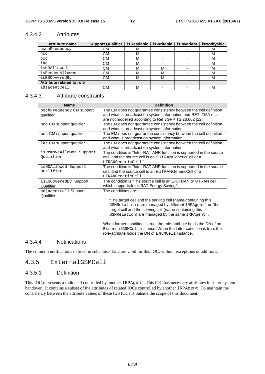#### 4.3.4.2 Attributes

| <b>Attribute name</b>     | <b>Support Qualifier</b> | <b>isReadable</b> | <b>isWritable</b> | islnvariant | isNotifyable |
|---------------------------|--------------------------|-------------------|-------------------|-------------|--------------|
| bcchFrequency             | CМ                       | M                 |                   |             | м            |
| ncc                       | <b>CM</b>                | м                 |                   |             | м            |
| bcc                       | CМ                       | M                 |                   |             | м            |
| lac                       | CМ                       | M                 |                   |             | M            |
| isHOAllowed               | CМ                       | M                 | М                 |             | м            |
| isRemoveAllowed           | CМ                       |                   | м                 |             | м            |
| isESCoveredBy             | CМ                       |                   | М                 |             | м            |
| Attribute related to role |                          |                   |                   |             |              |
| adjacentCell              | CМ                       |                   |                   |             | м            |

#### 4.3.4.3 Attribute constraints

| <b>Name</b>              | <b>Definition</b>                                                                                                       |
|--------------------------|-------------------------------------------------------------------------------------------------------------------------|
| bcchFrequency CM support | The EM does not guarantee consistency between the cell definition                                                       |
| qualifier                | and what is broadcast on system information and RET, TMA etc.<br>are not modelled according to Ref 3GPP TS 28.662 [12]. |
| ncc CM support qualifier | The EM does not guarantee consistency between the cell definition                                                       |
|                          | and what is broadcast on system information.                                                                            |
| bcc CM support qualifier | The EM does not guarantee consistency between the cell definition<br>and what is broadcast on system information.       |
| lac CM support qualifier | The EM does not guarantee consistency between the cell definition                                                       |
|                          | and what is broadcast on system information.                                                                            |
| isRemoveAllowed Support  | The condition is "Inter-RAT ANR function is supported in the source                                                     |
| Oualifier                | cell, and the source cell is an EUTRANGenericCell or a                                                                  |
|                          | UTRANGenericCell".                                                                                                      |
| isHOAllowed Support      | The condition is "Inter-RAT ANR function is supported in the source                                                     |
| Oualifier                | cell, and the source cell is an EUTRANGenericCell or a                                                                  |
|                          | UTRANGenericCell".                                                                                                      |
| isESCoveredBy Support    | The condition is "The source cell is an E-UTRAN or UTRAN cell                                                           |
| Qualifier                | which supports Inter-RAT Energy Saving".                                                                                |
| adjacentCell Support     | The conditions are:                                                                                                     |
| Qualifier                |                                                                                                                         |
|                          | "The target cell and the serving cell (name-containing this                                                             |
|                          | GSMRelation) are managed by different IRPAgent" or "the                                                                 |
|                          | target cell and the serving cell (name-containing this                                                                  |
|                          | GSMRelation) are managed by the same IRPAgent".                                                                         |
|                          | When former condition is true, the role-attribute holds the DN of an                                                    |
|                          | External GSMCell instance. When the latter condition is true, the                                                       |
|                          | role-attribute holds the DN of a GSMCell instance.                                                                      |

#### 4.3.4.4 Notifications

The common notifications defined in subclause 4.5.2 are valid for this IOC, without exceptions or additions.

#### 4.3.5 ExternalGSMCell

#### 4.3.5.1 Definition

This IOC represents a radio cell controlled by another IRPAgent. This IOC has necessary attributes for inter-system handover. It contains a subset of the attributes of related IOCs controlled by another IRPAgent. To maintain the consistency between the attribute values of these two IOCs is outside the scope of this document.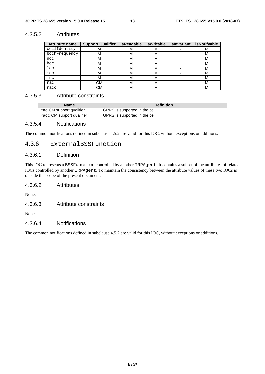#### 4.3.5.2 Attributes

| <b>Attribute name</b> | <b>Support Qualifier</b> | <b>isReadable</b> | isWritable | islnvariant | isNotifyable |
|-----------------------|--------------------------|-------------------|------------|-------------|--------------|
| cellIdentity          | М                        | M                 | M          |             | м            |
| bcchFrequency         | м                        | М                 | м          |             | М            |
| ncc                   | м                        | М                 | м          |             | М            |
| bcc                   | М                        | M                 | м          |             | М            |
| lac                   | м                        | М                 | м          |             | М            |
| mc <sub>c</sub>       | м                        | М                 | м          |             | М            |
| mnc                   | М                        | М                 | м          |             | М            |
| rac                   | СМ                       | м                 | м          |             | м            |
| racc                  | CМ                       | M                 |            |             | м            |

#### 4.3.5.3 Attribute constraints

| Name                      | <b>Definition</b>              |
|---------------------------|--------------------------------|
| rac CM support qualifier  | GPRS is supported in the cell. |
| racc CM support qualifier | GPRS is supported in the cell. |

#### 4.3.5.4 Notifications

The common notifications defined in subclause 4.5.2 are valid for this IOC, without exceptions or additions.

#### 4.3.6 ExternalBSSFunction

#### 4.3.6.1 Definition

This IOC represents a BSSFunction controlled by another IRPAgent. It contains a subset of the attributes of related IOCs controlled by another IRPAgent. To maintain the consistency between the attribute values of these two IOCs is outside the scope of the present document.

#### 4.3.6.2 Attributes

None.

#### 4.3.6.3 Attribute constraints

None.

#### 4.3.6.4 Notifications

The common notifications defined in subclause 4.5.2 are valid for this IOC, without exceptions or additions.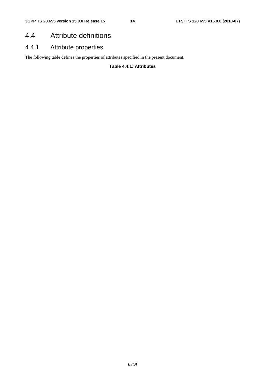### 4.4 Attribute definitions

### 4.4.1 Attribute properties

The following table defines the properties of attributes specified in the present document.

#### **Table 4.4.1: Attributes**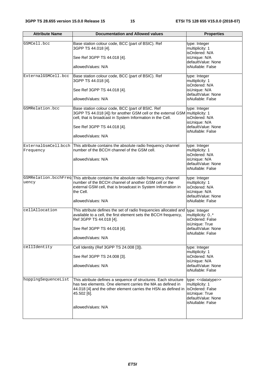| <b>Attribute Name</b>             | <b>Documentation and Allowed values</b>                                                                                                                                                                                                                | <b>Properties</b>                                                                                              |
|-----------------------------------|--------------------------------------------------------------------------------------------------------------------------------------------------------------------------------------------------------------------------------------------------------|----------------------------------------------------------------------------------------------------------------|
| GSMCell.bcc                       | Base station colour code, BCC (part of BSIC). Ref<br>3GPP TS 44.018 [4].                                                                                                                                                                               | type: Integer<br>multiplicity: 1<br>isOrdered: N/A                                                             |
|                                   | See Ref 3GPP TS 44.018 [4].                                                                                                                                                                                                                            | isUnique: N/A<br>defaultValue: None                                                                            |
|                                   | allowedValues: N/A                                                                                                                                                                                                                                     | isNullable: False                                                                                              |
| ExternalGSMCell.bcc               | Base station colour code, BCC (part of BSIC). Ref<br>3GPP TS 44.018 [4].<br>See Ref 3GPP TS 44.018 [4].                                                                                                                                                | type: Integer<br>multiplicity: 1<br>isOrdered: N/A<br>isUnique: N/A<br>defaultValue: None                      |
|                                   | allowedValues: N/A                                                                                                                                                                                                                                     | isNullable: False                                                                                              |
| GSMRelation.bcc                   | Base station colour code, BCC (part of BSIC. Ref<br>3GPP TS 44.018 [4]) for another GSM cell or the external GSM multiplicity: 1<br>cell, that is broadcast in System Information in the Cell.<br>See Ref 3GPP TS 44.018 [4].<br>allowedValues: N/A    | type: Integer<br>isOrdered: N/A<br>isUnique: N/A<br>defaultValue: None<br>isNullable: False                    |
| ExternalGsmCell.bcch<br>Frequency | This attribute contains the absolute radio frequency channel<br>number of the BCCH channel of the GSM cell.<br>allowedValues: N/A                                                                                                                      | type: Integer<br>multiplicity: 1<br>isOrdered: N/A<br>isUnique: N/A<br>defaultValue: None<br>isNullable: False |
| uency                             | GSMRelation. bcchFreq This attribute contains the absolute radio frequency channel<br>number of the BCCH channel of another GSM cell or the<br>external GSM cell, that is broadcast in System Information in<br>the Cell.<br>allowedValues: N/A        | type: Integer<br>multiplicity: 1<br>isOrdered: N/A<br>isUnique: N/A<br>defaultValue: None<br>isNullable: False |
| cellAllocation                    | This attribute defines the set of radio frequencies allocated and type: Integer<br>available to a cell, the first element sets the BCCH frequency,<br>Ref 3GPP TS 44.018 [4].<br>See Ref 3GPP TS 44.018 [4].<br>allowedValues: N/A                     | multiplicity: 0*<br>isOrdered: False<br>isUnique: True<br>defaultValue: None<br>isNullable: False              |
| cellIdentity                      | Cell Identity (Ref 3GPP TS 24.008 [3]).<br>See Ref 3GPP TS 24.008 [3].<br>allowedValues: N/A                                                                                                                                                           | type: Integer<br>multiplicity: 1<br>isOrdered: N/A<br>isUnique: N/A<br>defaultValue: None<br>isNullable: False |
| hoppingSequenceList               | This attribute defines a sequence of structures. Each structure<br>has two elements. One element carries the MA as defined in<br>44.018 [4] and the other element carries the HSN as defined in [isOrdered: False<br>45.502 [6].<br>allowedValues: N/A | type: << datatype>><br>multiplicity: 1<br>isUnique: True<br>defaultValue: None<br>isNullable: False            |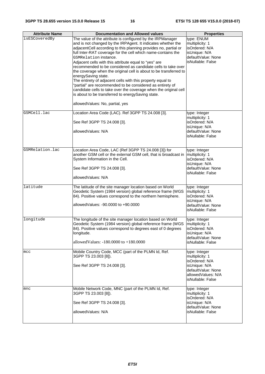| <b>Attribute Name</b> | <b>Documentation and Allowed values</b>                                                                                                                                                                                                                                                                                                                                                                                                                                                                                                                                                                                                                                                                                                                                                            | <b>Properties</b>                                                                                                                    |
|-----------------------|----------------------------------------------------------------------------------------------------------------------------------------------------------------------------------------------------------------------------------------------------------------------------------------------------------------------------------------------------------------------------------------------------------------------------------------------------------------------------------------------------------------------------------------------------------------------------------------------------------------------------------------------------------------------------------------------------------------------------------------------------------------------------------------------------|--------------------------------------------------------------------------------------------------------------------------------------|
| isESCoveredBy         | The value of the attribute is configured by the IRPManager<br>and is not changed by the IRPAgent. It indicates whether the<br>adjacentCell according to this planning provides no, partial or<br>full Inter-RAT coverage for the cell which name-contains the<br>GSMRelation instance.<br>Adjacent cells with this attribute equal to "yes" are<br>recommended to be considered as candidate cells to take over<br>the coverage when the original cell is about to be transferred to<br>energySaving state.<br>The entirety of adjacent cells with this property equal to<br>"partial" are recommended to be considered as entirety of<br>candidate cells to take over the coverage when the original cell<br>is about to be transferred to energySaving state.<br>allowedValues: No, partial, yes | type: ENUM<br>multiplicity: 1<br>isOrdered: N/A<br>isUnique: N/A<br>defaultValue: None<br>isNullable: False                          |
| GSMCell.lac           | Location Area Code (LAC). Ref 3GPP TS 24.008 [3].<br>See Ref 3GPP TS 24.008 [3].<br>allowedValues: N/A                                                                                                                                                                                                                                                                                                                                                                                                                                                                                                                                                                                                                                                                                             | type: Integer<br>multiplicity: 1<br>isOrdered: N/A<br>isUnique: N/A<br>defaultValue: None                                            |
| GSMRelation.lac       | Location Area Code, LAC (Ref 3GPP TS 24.008 [3]) for<br>another GSM cell or the external GSM cell, that is broadcast in                                                                                                                                                                                                                                                                                                                                                                                                                                                                                                                                                                                                                                                                            | isNullable: False<br>type: Integer                                                                                                   |
|                       | System Information in the Cell.<br>See Ref 3GPP TS 24.008 [3].<br>allowedValues: N/A                                                                                                                                                                                                                                                                                                                                                                                                                                                                                                                                                                                                                                                                                                               | multiplicity: 1<br>isOrdered: N/A<br>isUnique: N/A<br>defaultValue: None<br>isNullable: False                                        |
| latitude              | The latitude of the site manager location based on World<br>Geodetic System (1984 version) global reference frame (WGS<br>84). Positive values correspond to the northern hemisphere.<br>allowed Values: -90,0000 to +90,0000                                                                                                                                                                                                                                                                                                                                                                                                                                                                                                                                                                      | type: Integer<br>multiplicity: 1<br>isOrdered: N/A<br>isUnique: N/A<br>defaultValue: None<br>isNullable: False                       |
| longitude             | The longitude of the site manager location based on World<br>Geodetic System (1984 version) global reference frame (WGS<br>84). Positive values correspond to degrees east of 0 degrees<br>longitude.<br>allowed Values: $-180.0000$ to $+180.0000$                                                                                                                                                                                                                                                                                                                                                                                                                                                                                                                                                | type: Integer<br>multiplicity: 1<br>isOrdered: N/A<br>isUnique: N/A<br>defaultValue: None<br>isNullable: False                       |
| mcc                   | Mobile Country Code, MCC (part of the PLMN Id, Ref.<br>3GPP TS 23.003 [8]).<br>See Ref 3GPP TS 24.008 [3].                                                                                                                                                                                                                                                                                                                                                                                                                                                                                                                                                                                                                                                                                         | type: Integer<br>multiplicity: 1<br>isOrdered: N/A<br>isUnique: N/A<br>defaultValue: None<br>allowedValues: N/A<br>isNullable: False |
| mnc                   | Mobile Network Code, MNC (part of the PLMN Id, Ref.<br>3GPP TS 23.003 [8]).<br>See Ref 3GPP TS 24.008 [3].<br>allowedValues: N/A                                                                                                                                                                                                                                                                                                                                                                                                                                                                                                                                                                                                                                                                   | type: Integer<br>multiplicity: 1<br>isOrdered: N/A<br>isUnique: N/A<br>defaultValue: None<br>isNullable: False                       |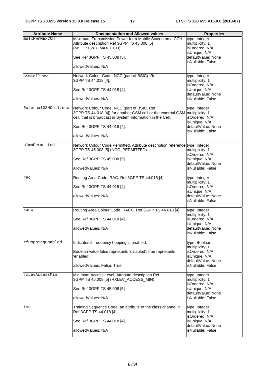| <b>Attribute Name</b> | <b>Documentation and Allowed values</b>                                                                             | <b>Properties</b>                 |
|-----------------------|---------------------------------------------------------------------------------------------------------------------|-----------------------------------|
| msTxPwrMaxCCH         | Maximum Transmission Power for a Mobile Station on a CCH.                                                           |                                   |
|                       |                                                                                                                     | type: Integer                     |
|                       | Attribute description Ref 3GPP TS 45.008 [5]                                                                        | multiplicity: 1                   |
|                       | (MS_TXPWR_MAX_CCH).                                                                                                 | isOrdered: N/A<br>isUnique: N/A   |
|                       | See Ref 3GPP TS 45.008 [5].                                                                                         | defaultValue: None                |
|                       |                                                                                                                     | isNullable: False                 |
|                       | allowedValues: N/A                                                                                                  |                                   |
|                       |                                                                                                                     |                                   |
| GSMCell.ncc           | Network Colour Code, NCC (part of BSIC). Ref                                                                        | type: Integer                     |
|                       | 3GPP TS 44.018 [4].                                                                                                 | multiplicity: 1                   |
|                       |                                                                                                                     | isOrdered: N/A                    |
|                       | See Ref 3GPP TS 44.018 [4].                                                                                         | isUnique: N/A                     |
|                       |                                                                                                                     | defaultValue: None                |
|                       | allowedValues: N/A                                                                                                  | isNullable: False                 |
|                       |                                                                                                                     |                                   |
| ExternalGSMCell.ncc   | Network Colour Code, NCC (part of BSIC. Ref                                                                         | type: Integer                     |
|                       | 3GPP TS 44.018 [4]) for another GSM cell or the external GSM multiplicity: 1                                        |                                   |
|                       | cell, that is broadcast in System Information in the Cell.                                                          | isOrdered: N/A                    |
|                       |                                                                                                                     | isUnique: N/A                     |
|                       | See Ref 3GPP TS 44.018 [4].                                                                                         | defaultValue: None                |
|                       |                                                                                                                     | isNullable: False                 |
|                       | allowedValues: N/A                                                                                                  |                                   |
| plmnPermitted         |                                                                                                                     |                                   |
|                       | Network Colour Code Permitted. Attribute description reference type: Integer<br>3GPP TS 45.008 [5] (NCC_PERMITTED). |                                   |
|                       |                                                                                                                     | multiplicity: 1<br>isOrdered: N/A |
|                       |                                                                                                                     | isUnique: N/A                     |
|                       | See Ref 3GPP TS 45.008 [5].                                                                                         | defaultValue: None                |
|                       | allowedValues: N/A                                                                                                  | isNullable: False                 |
|                       |                                                                                                                     |                                   |
| rac                   | Routing Area Code, RAC. Ref 3GPP TS 44.018 [4].                                                                     | type: Integer                     |
|                       |                                                                                                                     | multiplicity: 1                   |
|                       | See Ref 3GPP TS 44.018 [4].                                                                                         | isOrdered: N/A                    |
|                       |                                                                                                                     | isUnique: N/A                     |
|                       | allowedValues: N/A                                                                                                  | defaultValue: None                |
|                       |                                                                                                                     | isNullable: False                 |
|                       |                                                                                                                     |                                   |
| racc                  | Routing Area Colour Code, RACC. Ref 3GPP TS 44.018 [4].                                                             | type: Integer                     |
|                       |                                                                                                                     | multiplicity: 1                   |
|                       | See Ref 3GPP TS 44.018 [4].                                                                                         | isOrdered: N/A<br>isUnique: N/A   |
|                       | allowedValues: N/A                                                                                                  | defaultValue: None                |
|                       |                                                                                                                     | isNullable: False                 |
|                       |                                                                                                                     |                                   |
| rfHoppingEnabled      | Indicates if frequency hopping is enabled.                                                                          | type: Boolean                     |
|                       |                                                                                                                     | multiplicity: 1                   |
|                       | Boolean value false represents 'disabled'; true represents                                                          | isOrdered: N/A                    |
|                       | 'enabled'.                                                                                                          | isUnique: N/A                     |
|                       |                                                                                                                     | defaultValue: None                |
|                       | allowedValues: False, True.                                                                                         | isNullable: False                 |
|                       |                                                                                                                     |                                   |
| rxLevAccessMin        | Minimum Access Level. Attribute description Ref<br>3GPP TS 45.008 [5] (RXLEV_ACCESS_MIN)                            | type: Integer<br>multiplicity: 1  |
|                       |                                                                                                                     | isOrdered: N/A                    |
|                       |                                                                                                                     | isUnique: N/A                     |
|                       | See Ref 3GPP TS 45.008 [5].                                                                                         | defaultValue: None                |
|                       | allowedValues: N/A                                                                                                  | isNullable: False                 |
|                       |                                                                                                                     |                                   |
| tsc                   | Training Sequence Code, an attribute of the class channel in                                                        | type: Integer                     |
|                       | Ref 3GPP TS 44.018 [4].                                                                                             | multiplicity: 1                   |
|                       |                                                                                                                     | isOrdered: N/A                    |
|                       | See Ref 3GPP TS 44.018 [4].                                                                                         | isUnique: N/A                     |
|                       |                                                                                                                     | defaultValue: None                |
|                       | allowedValues: N/A                                                                                                  | isNullable: False                 |
|                       |                                                                                                                     |                                   |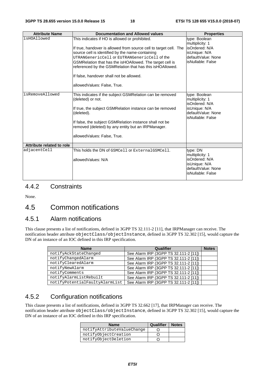| <b>Attribute Name</b>     | <b>Documentation and Allowed values</b>                                                                                | <b>Properties</b>                                        |
|---------------------------|------------------------------------------------------------------------------------------------------------------------|----------------------------------------------------------|
| isHOAllowed               | This indicates if HO is allowed or prohibited.                                                                         | type: Boolean<br>multiplicity: 1                         |
|                           | If true, handover is allowed from source cell to target cell. The                                                      | isOrdered: N/A                                           |
|                           | source cell is identified by the name-containing                                                                       | isUnique: N/A                                            |
|                           | UTRANGenericCell or EUTRANGenericCell of the                                                                           | defaultValue: None                                       |
|                           | GSMRelation that has the isHOAllowed. The target cell is<br>referenced by the GSMRelation that has this is HOAI lowed. | isNullable: False                                        |
|                           | If false, handover shall not be allowed.                                                                               |                                                          |
|                           | allowed Values: False, True.                                                                                           |                                                          |
| isRemoveAllowed           | This indicates if the subject GSMRelation can be removed<br>(deleted) or not.                                          | type: Boolean<br>multiplicity: 1<br>isOrdered: N/A       |
|                           | If true, the subject GSMRelation instance can be removed<br>(deleted).                                                 | isUnique: N/A<br>defaultValue: None<br>isNullable: False |
|                           | If false, the subject GSMRelation instance shall not be<br>removed (deleted) by any entity but an IRPManager.          |                                                          |
|                           | allowedValues: False, True.                                                                                            |                                                          |
| Attribute related to role |                                                                                                                        |                                                          |
| adjacentCell              | This holds the DN of GSMCell or External GSMCell.                                                                      | type: DN<br>multiplicity: 1                              |
|                           | allowedValues: N/A                                                                                                     | isOrdered: N/A                                           |
|                           |                                                                                                                        | isUnique: N/A                                            |
|                           |                                                                                                                        | defaultValue: None<br>isNullable: False                  |
|                           |                                                                                                                        |                                                          |

#### 4.4.2 Constraints

None.

### 4.5 Common notifications

#### 4.5.1 Alarm notifications

This clause presents a list of notifications, defined in 3GPP TS 32.111-2 [11], that IRPManager can receive. The notification header attribute objectClass/objectInstance, defined in 3GPP TS 32.302 [15], would capture the DN of an instance of an IOC defined in this IRP specification.

| <b>Name</b>                    | Qualifier                             | <b>Notes</b> |
|--------------------------------|---------------------------------------|--------------|
| notifyAckStateChanged          | See Alarm IRP (3GPP TS 32.111-2 [11]) |              |
| notifyChangedAlarm             | See Alarm IRP (3GPP TS 32.111-2 [11]) |              |
| notifyClearedAlarm             | See Alarm IRP (3GPP TS 32.111-2 [11]) |              |
| notifyNewAlarm                 | See Alarm IRP (3GPP TS 32.111-2 [11]) |              |
| notifyComments                 | See Alarm IRP (3GPP TS 32.111-2 [11]) |              |
| notifyAlarmListRebuilt         | See Alarm IRP (3GPP TS 32.111-2 [11]) |              |
| notifyPotentialFaultyAlarmList | See Alarm IRP (3GPP TS 32.111-2 [11]) |              |

### 4.5.2 Configuration notifications

This clause presents a list of notifications, defined in 3GPP TS 32.662 [17], that IRPManager can receive. The notification header attribute objectClass/objectInstance, defined in 3GPP TS 32.302 [15], would capture the DN of an instance of an IOC defined in this IRP specification.

| <b>Name</b>                | Qualifier | <b>Notes</b> |
|----------------------------|-----------|--------------|
| notifyAttributeValueChange |           |              |
| notifyObjectCreation       |           |              |
| notifyObjectDeletion       |           |              |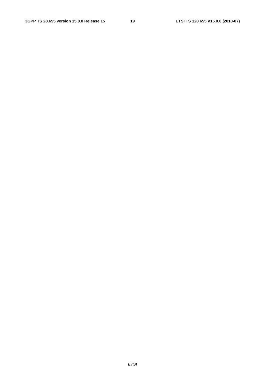*ETSI*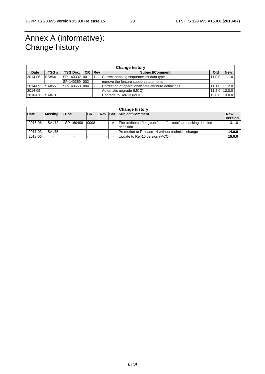### Annex A (informative): Change history

|         | <b>Change history</b> |                   |                                                    |  |                                                      |                 |            |  |
|---------|-----------------------|-------------------|----------------------------------------------------|--|------------------------------------------------------|-----------------|------------|--|
| Date    | TSG #                 | <b>TSG Doc.</b> I | <b>CR</b><br><b>IRev</b><br><b>Subiect/Comment</b> |  |                                                      | Old             | <b>New</b> |  |
| 2014-06 | SA#64                 | SP-140332 001     |                                                    |  | Correct hopping sequence list data type              | 11.0.0 111.1.0  |            |  |
|         |                       | SP-140359 002     |                                                    |  | remove the feature support statements                |                 |            |  |
| 2014-09 | SA#65                 | SP-140558 I004    |                                                    |  | Correction of operationalState attribute definitions | $11.1.0$ 11.2.0 |            |  |
| 2014-09 |                       |                   |                                                    |  | Automatic upgrade (MCC)                              | 11.2.0 12.0.0   |            |  |
| 2016-01 | <b>SA#70</b>          |                   |                                                    |  | Upgrade to Rel-13 (MCC)                              | 12.0.0 13.0.0   |            |  |

| <b>Change history</b> |                          |             |           |                |   |                                                                              |                       |
|-----------------------|--------------------------|-------------|-----------|----------------|---|------------------------------------------------------------------------------|-----------------------|
| <b>Date</b>           | Meetina                  | <b>TDoc</b> | <b>CR</b> | <b>Rev Cat</b> |   | Subject/Comment                                                              | <b>New</b><br>version |
| 2016-06               | SA#72                    | SP-160408   | 0008      |                | A | The attributes "longitude" and "latitude" are lacking detailed<br>definition | 13.1.0                |
| 2017-03               | SA#75                    |             |           |                |   | Promotion to Release 14 without technical change                             | 14.0.0                |
| 2018-06               | $\overline{\phantom{a}}$ |             |           |                |   | Update to Rel-15 version (MCC)                                               | 15.0.0                |